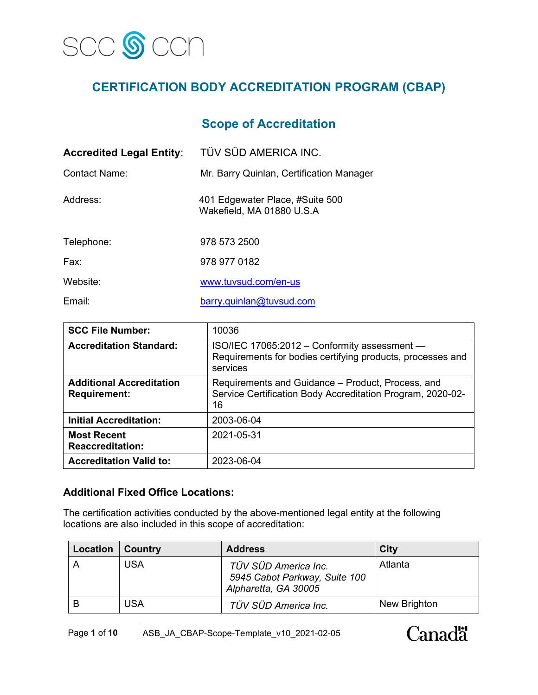

# **CERTIFICATION BODY ACCREDITATION PROGRAM (CBAP)**

## **Scope of Accreditation**

| <b>Accredited Legal Entity:</b> | TÜV SÜD AMERICA INC.                                         |
|---------------------------------|--------------------------------------------------------------|
| Contact Name:                   | Mr. Barry Quinlan, Certification Manager                     |
| Address:                        | 401 Edgewater Place, #Suite 500<br>Wakefield, MA 01880 U.S.A |
| Telephone:                      | 978 573 2500                                                 |
| Fax:                            | 978 977 0182                                                 |
| Website:                        | www.tuvsud.com/en-us                                         |
| Email:                          | barry.quinlan@tuvsud.com                                     |

| <b>SCC File Number:</b>                                | 10036                                                                                                                  |
|--------------------------------------------------------|------------------------------------------------------------------------------------------------------------------------|
| <b>Accreditation Standard:</b>                         | ISO/IEC 17065:2012 - Conformity assessment -<br>Requirements for bodies certifying products, processes and<br>services |
| <b>Additional Accreditation</b><br><b>Requirement:</b> | Requirements and Guidance – Product, Process, and<br>Service Certification Body Accreditation Program, 2020-02-<br>16  |
| <b>Initial Accreditation:</b>                          | 2003-06-04                                                                                                             |
| <b>Most Recent</b><br><b>Reaccreditation:</b>          | 2021-05-31                                                                                                             |
| <b>Accreditation Valid to:</b>                         | 2023-06-04                                                                                                             |

### **Additional Fixed Office Locations:**

The certification activities conducted by the above-mentioned legal entity at the following locations are also included in this scope of accreditation:

| Location | Country | <b>Address</b>                                                                | City         |
|----------|---------|-------------------------------------------------------------------------------|--------------|
|          | USA     | TÜV SÜD America Inc.<br>5945 Cabot Parkway, Suite 100<br>Alpharetta, GA 30005 | Atlanta      |
|          | USA     | TÜV SÜD America Inc.                                                          | New Brighton |

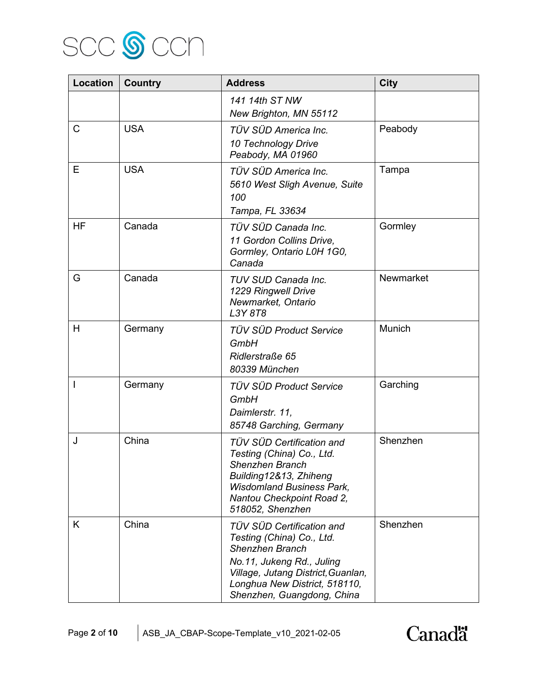

| Location       | <b>Country</b> | <b>Address</b>                                                                                                                                                                                                     | <b>City</b> |
|----------------|----------------|--------------------------------------------------------------------------------------------------------------------------------------------------------------------------------------------------------------------|-------------|
|                |                | 141 14th ST NW<br>New Brighton, MN 55112                                                                                                                                                                           |             |
| $\mathsf{C}$   | <b>USA</b>     | TÜV SÜD America Inc.<br>10 Technology Drive<br>Peabody, MA 01960                                                                                                                                                   | Peabody     |
| E              | <b>USA</b>     | TÜV SÜD America Inc.<br>5610 West Sligh Avenue, Suite<br>100<br>Tampa, FL 33634                                                                                                                                    | Tampa       |
| <b>HF</b>      | Canada         | TÜV SÜD Canada Inc.<br>11 Gordon Collins Drive,<br>Gormley, Ontario L0H 1G0,<br>Canada                                                                                                                             | Gormley     |
| G              | Canada         | TUV SUD Canada Inc.<br>1229 Ringwell Drive<br>Newmarket, Ontario<br>L3Y 8T8                                                                                                                                        | Newmarket   |
| H              | Germany        | <b>TÜV SÜD Product Service</b><br>GmbH<br>Ridlerstraße 65<br>80339 München                                                                                                                                         | Munich      |
| $\overline{1}$ | Germany        | <b>TÜV SÜD Product Service</b><br>GmbH<br>Daimlerstr. 11,<br>85748 Garching, Germany                                                                                                                               | Garching    |
| J              | China          | TÜV SÜD Certification and<br>Testing (China) Co., Ltd.<br>Shenzhen Branch<br>Building12&13, Zhiheng<br><b>Wisdomland Business Park,</b><br>Nantou Checkpoint Road 2,<br>518052, Shenzhen                           | Shenzhen    |
| K              | China          | TÜV SÜD Certification and<br>Testing (China) Co., Ltd.<br><b>Shenzhen Branch</b><br>No.11, Jukeng Rd., Juling<br>Village, Jutang District, Guanlan,<br>Longhua New District, 518110,<br>Shenzhen, Guangdong, China | Shenzhen    |

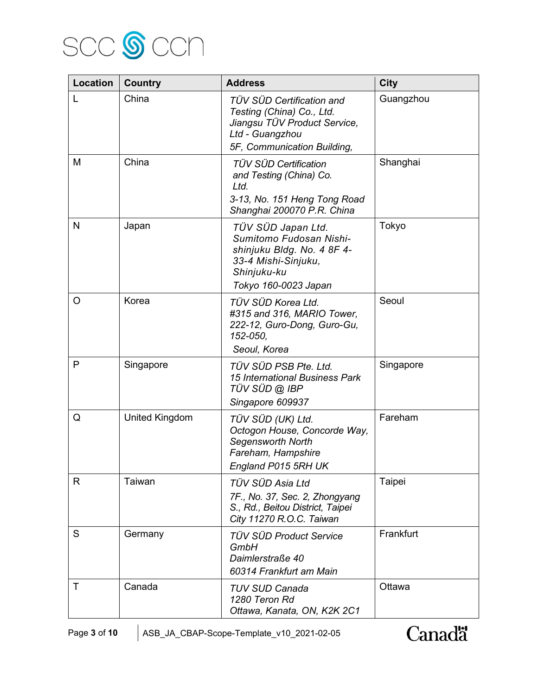

| Location | <b>Country</b> | <b>Address</b>                                                                                                                            | <b>City</b> |
|----------|----------------|-------------------------------------------------------------------------------------------------------------------------------------------|-------------|
| L        | China          | TÜV SÜD Certification and<br>Testing (China) Co., Ltd.<br>Jiangsu TÜV Product Service,<br>Ltd - Guangzhou<br>5F. Communication Building,  | Guangzhou   |
| M        | China          | TÜV SÜD Certification<br>and Testing (China) Co.<br>Ltd.<br>3-13, No. 151 Heng Tong Road<br>Shanghai 200070 P.R. China                    | Shanghai    |
| N        | Japan          | TÜV SÜD Japan Ltd.<br>Sumitomo Fudosan Nishi-<br>shinjuku Bldg. No. 4 8F 4-<br>33-4 Mishi-Sinjuku,<br>Shinjuku-ku<br>Tokyo 160-0023 Japan | Tokyo       |
| $\circ$  | Korea          | TÜV SÜD Korea Ltd.<br>#315 and 316, MARIO Tower,<br>222-12, Guro-Dong, Guro-Gu,<br>152-050,<br>Seoul, Korea                               | Seoul       |
| P        | Singapore      | TÜV SÜD PSB Pte. Ltd.<br><b>15 International Business Park</b><br>TÜV SÜD @ IBP<br>Singapore 609937                                       | Singapore   |
| Q        | United Kingdom | TÜV SÜD (UK) Ltd.<br>Octogon House, Concorde Way,<br>Segensworth North<br>Fareham, Hampshire<br>England P015 5RH UK                       | Fareham     |
| R        | Taiwan         | TÜV SÜD Asia Ltd<br>7F., No. 37, Sec. 2, Zhongyang<br>S., Rd., Beitou District, Taipei<br>City 11270 R.O.C. Taiwan                        | Taipei      |
| S        | Germany        | <b>TÜV SÜD Product Service</b><br>GmbH<br>Daimlerstraße 40<br>60314 Frankfurt am Main                                                     | Frankfurt   |
| Т        | Canada         | <b>TUV SUD Canada</b><br>1280 Teron Rd<br>Ottawa, Kanata, ON, K2K 2C1                                                                     | Ottawa      |

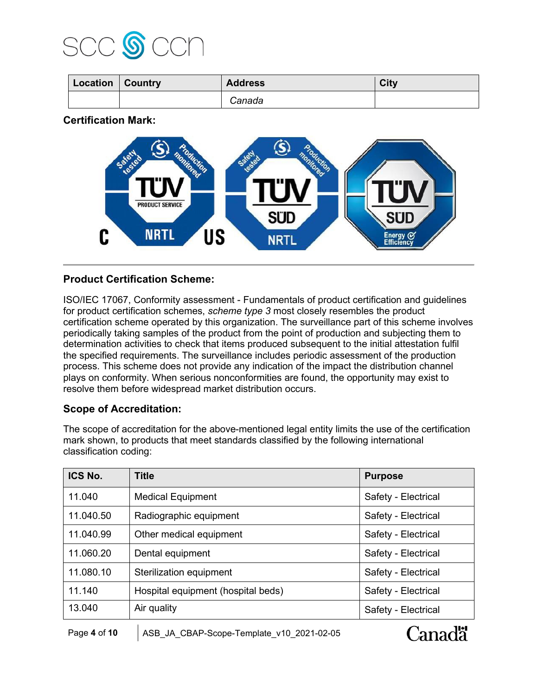

| Location   Country | <b>Address</b> | City |
|--------------------|----------------|------|
|                    | Canada         |      |

**Certification Mark:**



### **Product Certification Scheme:**

ISO/IEC 17067, Conformity assessment - Fundamentals of product certification and guidelines for product certification schemes, *scheme type 3* most closely resembles the product certification scheme operated by this organization. The surveillance part of this scheme involves periodically taking samples of the product from the point of production and subjecting them to determination activities to check that items produced subsequent to the initial attestation fulfil the specified requirements. The surveillance includes periodic assessment of the production process. This scheme does not provide any indication of the impact the distribution channel plays on conformity. When serious nonconformities are found, the opportunity may exist to resolve them before widespread market distribution occurs.

#### **Scope of Accreditation:**

The scope of accreditation for the above-mentioned legal entity limits the use of the certification mark shown, to products that meet standards classified by the following international classification coding:

| ICS No.   | <b>Title</b>                       | <b>Purpose</b>      |
|-----------|------------------------------------|---------------------|
| 11.040    | <b>Medical Equipment</b>           | Safety - Electrical |
| 11.040.50 | Radiographic equipment             | Safety - Electrical |
| 11.040.99 | Other medical equipment            | Safety - Electrical |
| 11.060.20 | Dental equipment                   | Safety - Electrical |
| 11.080.10 | Sterilization equipment            | Safety - Electrical |
| 11.140    | Hospital equipment (hospital beds) | Safety - Electrical |
| 13.040    | Air quality                        | Safety - Electrical |

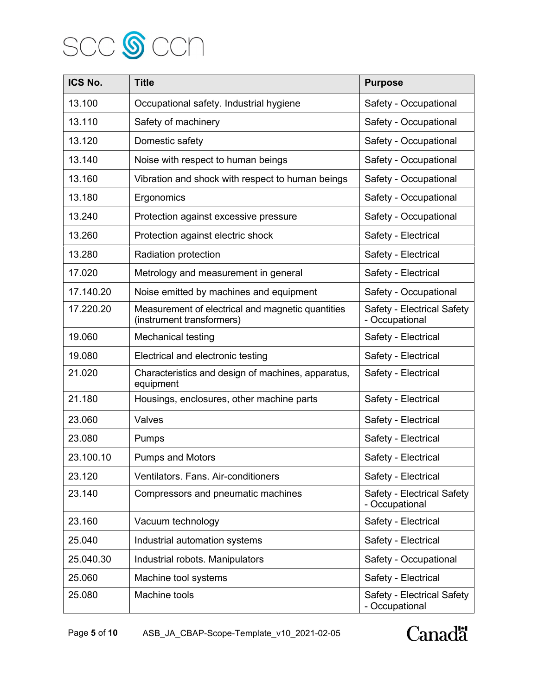

| ICS No.   | <b>Title</b>                                                                   | <b>Purpose</b>                               |
|-----------|--------------------------------------------------------------------------------|----------------------------------------------|
| 13.100    | Occupational safety. Industrial hygiene                                        | Safety - Occupational                        |
| 13.110    | Safety of machinery                                                            | Safety - Occupational                        |
| 13.120    | Domestic safety                                                                | Safety - Occupational                        |
| 13.140    | Noise with respect to human beings                                             | Safety - Occupational                        |
| 13.160    | Vibration and shock with respect to human beings                               | Safety - Occupational                        |
| 13.180    | Ergonomics                                                                     | Safety - Occupational                        |
| 13.240    | Protection against excessive pressure                                          | Safety - Occupational                        |
| 13.260    | Protection against electric shock                                              | Safety - Electrical                          |
| 13.280    | Radiation protection                                                           | Safety - Electrical                          |
| 17.020    | Metrology and measurement in general                                           | Safety - Electrical                          |
| 17.140.20 | Noise emitted by machines and equipment                                        | Safety - Occupational                        |
| 17.220.20 | Measurement of electrical and magnetic quantities<br>(instrument transformers) | Safety - Electrical Safety<br>- Occupational |
| 19.060    | Mechanical testing                                                             | Safety - Electrical                          |
| 19.080    | Electrical and electronic testing                                              | Safety - Electrical                          |
| 21.020    | Characteristics and design of machines, apparatus,<br>equipment                | Safety - Electrical                          |
| 21.180    | Housings, enclosures, other machine parts                                      | Safety - Electrical                          |
| 23.060    | Valves                                                                         | Safety - Electrical                          |
| 23.080    | Pumps                                                                          | Safety - Electrical                          |
| 23.100.10 | <b>Pumps and Motors</b>                                                        | Safety - Electrical                          |
| 23.120    | Ventilators. Fans. Air-conditioners                                            | Safety - Electrical                          |
| 23.140    | Compressors and pneumatic machines                                             | Safety - Electrical Safety<br>- Occupational |
| 23.160    | Vacuum technology                                                              | Safety - Electrical                          |
| 25.040    | Industrial automation systems                                                  | Safety - Electrical                          |
| 25.040.30 | Industrial robots. Manipulators                                                | Safety - Occupational                        |
| 25.060    | Machine tool systems                                                           | Safety - Electrical                          |
| 25.080    | Machine tools                                                                  | Safety - Electrical Safety<br>- Occupational |

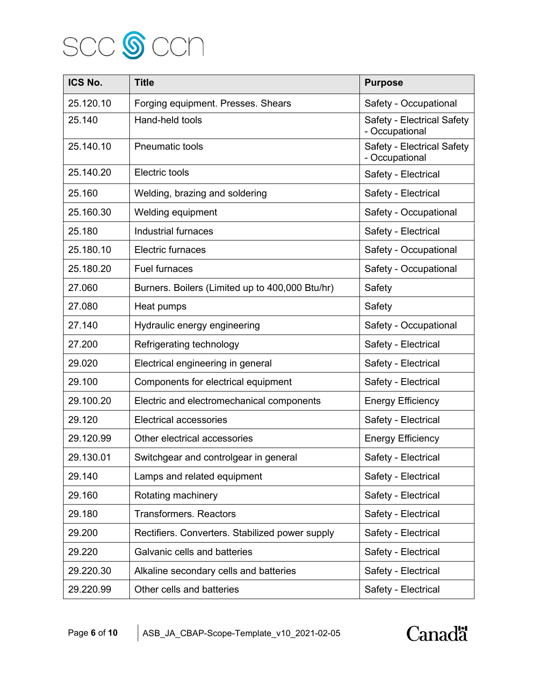

| ICS No.   | <b>Title</b>                                    | <b>Purpose</b>                               |
|-----------|-------------------------------------------------|----------------------------------------------|
| 25.120.10 | Forging equipment. Presses. Shears              | Safety - Occupational                        |
| 25.140    | Hand-held tools                                 | Safety - Electrical Safety<br>- Occupational |
| 25.140.10 | <b>Pneumatic tools</b>                          | Safety - Electrical Safety<br>- Occupational |
| 25.140.20 | Electric tools                                  | Safety - Electrical                          |
| 25.160    | Welding, brazing and soldering                  | Safety - Electrical                          |
| 25.160.30 | Welding equipment                               | Safety - Occupational                        |
| 25.180    | <b>Industrial furnaces</b>                      | Safety - Electrical                          |
| 25.180.10 | Electric furnaces                               | Safety - Occupational                        |
| 25.180.20 | Fuel furnaces                                   | Safety - Occupational                        |
| 27.060    | Burners. Boilers (Limited up to 400,000 Btu/hr) | Safety                                       |
| 27.080    | Heat pumps                                      | Safety                                       |
| 27.140    | Hydraulic energy engineering                    | Safety - Occupational                        |
| 27.200    | Refrigerating technology                        | Safety - Electrical                          |
| 29.020    | Electrical engineering in general               | Safety - Electrical                          |
| 29.100    | Components for electrical equipment             | Safety - Electrical                          |
| 29.100.20 | Electric and electromechanical components       | <b>Energy Efficiency</b>                     |
| 29.120    | <b>Electrical accessories</b>                   | Safety - Electrical                          |
| 29.120.99 | Other electrical accessories                    | <b>Energy Efficiency</b>                     |
| 29.130.01 | Switchgear and controlgear in general           | Safety - Electrical                          |
| 29.140    | Lamps and related equipment                     | Safety - Electrical                          |
| 29.160    | Rotating machinery                              | Safety - Electrical                          |
| 29.180    | <b>Transformers. Reactors</b>                   | Safety - Electrical                          |
| 29.200    | Rectifiers. Converters. Stabilized power supply | Safety - Electrical                          |
| 29.220    | Galvanic cells and batteries                    | Safety - Electrical                          |
| 29.220.30 | Alkaline secondary cells and batteries          | Safety - Electrical                          |
| 29.220.99 | Other cells and batteries                       | Safety - Electrical                          |

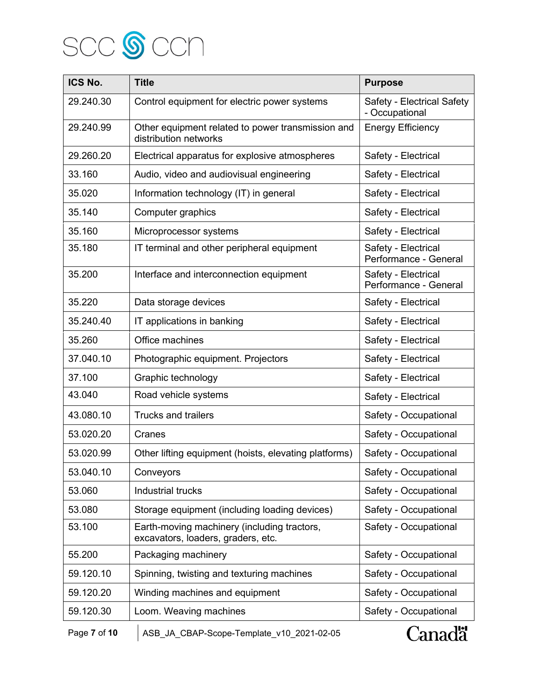

| ICS No.      | <b>Title</b>                                                                      | <b>Purpose</b>                               |
|--------------|-----------------------------------------------------------------------------------|----------------------------------------------|
| 29.240.30    | Control equipment for electric power systems                                      | Safety - Electrical Safety<br>- Occupational |
| 29.240.99    | Other equipment related to power transmission and<br>distribution networks        | <b>Energy Efficiency</b>                     |
| 29.260.20    | Electrical apparatus for explosive atmospheres                                    | Safety - Electrical                          |
| 33.160       | Audio, video and audiovisual engineering                                          | Safety - Electrical                          |
| 35.020       | Information technology (IT) in general                                            | Safety - Electrical                          |
| 35.140       | Computer graphics                                                                 | Safety - Electrical                          |
| 35.160       | Microprocessor systems                                                            | Safety - Electrical                          |
| 35.180       | IT terminal and other peripheral equipment                                        | Safety - Electrical<br>Performance - General |
| 35.200       | Interface and interconnection equipment                                           | Safety - Electrical<br>Performance - General |
| 35.220       | Data storage devices                                                              | Safety - Electrical                          |
| 35.240.40    | IT applications in banking                                                        | Safety - Electrical                          |
| 35.260       | Office machines                                                                   | Safety - Electrical                          |
| 37.040.10    | Photographic equipment. Projectors                                                | Safety - Electrical                          |
| 37.100       | Graphic technology                                                                | Safety - Electrical                          |
| 43.040       | Road vehicle systems                                                              | Safety - Electrical                          |
| 43.080.10    | <b>Trucks and trailers</b>                                                        | Safety - Occupational                        |
| 53.020.20    | Cranes                                                                            | Safety - Occupational                        |
| 53.020.99    | Other lifting equipment (hoists, elevating platforms)                             | Safety - Occupational                        |
| 53.040.10    | Conveyors                                                                         | Safety - Occupational                        |
| 53.060       | Industrial trucks                                                                 | Safety - Occupational                        |
| 53.080       | Storage equipment (including loading devices)                                     | Safety - Occupational                        |
| 53.100       | Earth-moving machinery (including tractors,<br>excavators, loaders, graders, etc. | Safety - Occupational                        |
| 55.200       | Packaging machinery                                                               | Safety - Occupational                        |
| 59.120.10    | Spinning, twisting and texturing machines                                         | Safety - Occupational                        |
| 59.120.20    | Winding machines and equipment                                                    | Safety - Occupational                        |
| 59.120.30    | Loom. Weaving machines                                                            | Safety - Occupational                        |
| Page 7 of 10 | ASB_JA_CBAP-Scope-Template_v10_2021-02-05                                         | Canadä                                       |

Canadä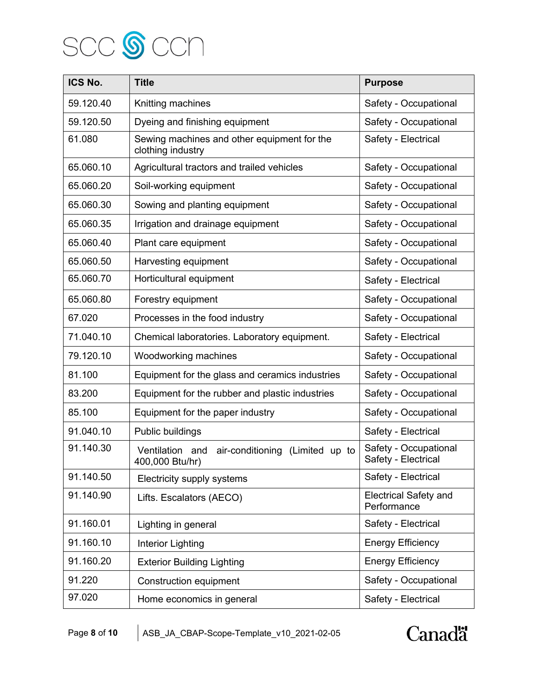

| ICS No.   | <b>Title</b>                                                       | <b>Purpose</b>                               |
|-----------|--------------------------------------------------------------------|----------------------------------------------|
| 59.120.40 | Knitting machines                                                  | Safety - Occupational                        |
| 59.120.50 | Dyeing and finishing equipment                                     | Safety - Occupational                        |
| 61.080    | Sewing machines and other equipment for the<br>clothing industry   | Safety - Electrical                          |
| 65.060.10 | Agricultural tractors and trailed vehicles                         | Safety - Occupational                        |
| 65.060.20 | Soil-working equipment                                             | Safety - Occupational                        |
| 65.060.30 | Sowing and planting equipment                                      | Safety - Occupational                        |
| 65.060.35 | Irrigation and drainage equipment                                  | Safety - Occupational                        |
| 65.060.40 | Plant care equipment                                               | Safety - Occupational                        |
| 65.060.50 | Harvesting equipment                                               | Safety - Occupational                        |
| 65.060.70 | Horticultural equipment                                            | Safety - Electrical                          |
| 65.060.80 | Forestry equipment                                                 | Safety - Occupational                        |
| 67.020    | Processes in the food industry                                     | Safety - Occupational                        |
| 71.040.10 | Chemical laboratories. Laboratory equipment.                       | Safety - Electrical                          |
| 79.120.10 | Woodworking machines                                               | Safety - Occupational                        |
| 81.100    | Equipment for the glass and ceramics industries                    | Safety - Occupational                        |
| 83.200    | Equipment for the rubber and plastic industries                    | Safety - Occupational                        |
| 85.100    | Equipment for the paper industry                                   | Safety - Occupational                        |
| 91.040.10 | Public buildings                                                   | Safety - Electrical                          |
| 91.140.30 | Ventilation and air-conditioning (Limited up to<br>400,000 Btu/hr) | Safety - Occupational<br>Safety - Electrical |
| 91.140.50 | Electricity supply systems                                         | Safety - Electrical                          |
| 91.140.90 | Lifts. Escalators (AECO)                                           | <b>Electrical Safety and</b><br>Performance  |
| 91.160.01 | Lighting in general                                                | Safety - Electrical                          |
| 91.160.10 | Interior Lighting                                                  | <b>Energy Efficiency</b>                     |
| 91.160.20 | <b>Exterior Building Lighting</b>                                  | <b>Energy Efficiency</b>                     |
| 91.220    | <b>Construction equipment</b>                                      | Safety - Occupational                        |
| 97.020    | Home economics in general                                          | Safety - Electrical                          |

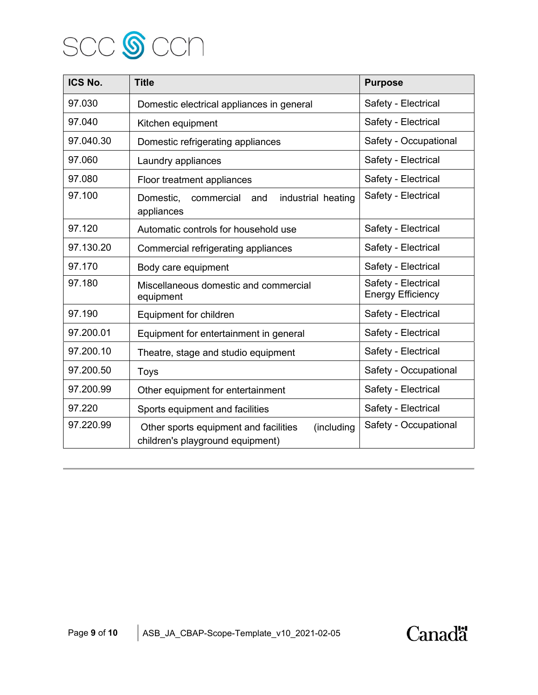

| ICS No.   | <b>Title</b>                                                                            | <b>Purpose</b>                                  |
|-----------|-----------------------------------------------------------------------------------------|-------------------------------------------------|
| 97.030    | Domestic electrical appliances in general                                               | Safety - Electrical                             |
| 97.040    | Kitchen equipment                                                                       | Safety - Electrical                             |
| 97.040.30 | Domestic refrigerating appliances                                                       | Safety - Occupational                           |
| 97.060    | Laundry appliances                                                                      | Safety - Electrical                             |
| 97.080    | Floor treatment appliances                                                              | Safety - Electrical                             |
| 97.100    | industrial heating<br>Domestic,<br>commercial<br>and<br>appliances                      | Safety - Electrical                             |
| 97.120    | Automatic controls for household use                                                    | Safety - Electrical                             |
| 97.130.20 | Commercial refrigerating appliances                                                     | Safety - Electrical                             |
| 97.170    | Body care equipment                                                                     | Safety - Electrical                             |
| 97.180    | Miscellaneous domestic and commercial<br>equipment                                      | Safety - Electrical<br><b>Energy Efficiency</b> |
| 97.190    | Equipment for children                                                                  | Safety - Electrical                             |
| 97.200.01 | Equipment for entertainment in general                                                  | Safety - Electrical                             |
| 97.200.10 | Theatre, stage and studio equipment                                                     | Safety - Electrical                             |
| 97.200.50 | <b>Toys</b>                                                                             | Safety - Occupational                           |
| 97.200.99 | Other equipment for entertainment                                                       | Safety - Electrical                             |
| 97.220    | Sports equipment and facilities                                                         | Safety - Electrical                             |
| 97.220.99 | (including<br>Other sports equipment and facilities<br>children's playground equipment) | Safety - Occupational                           |